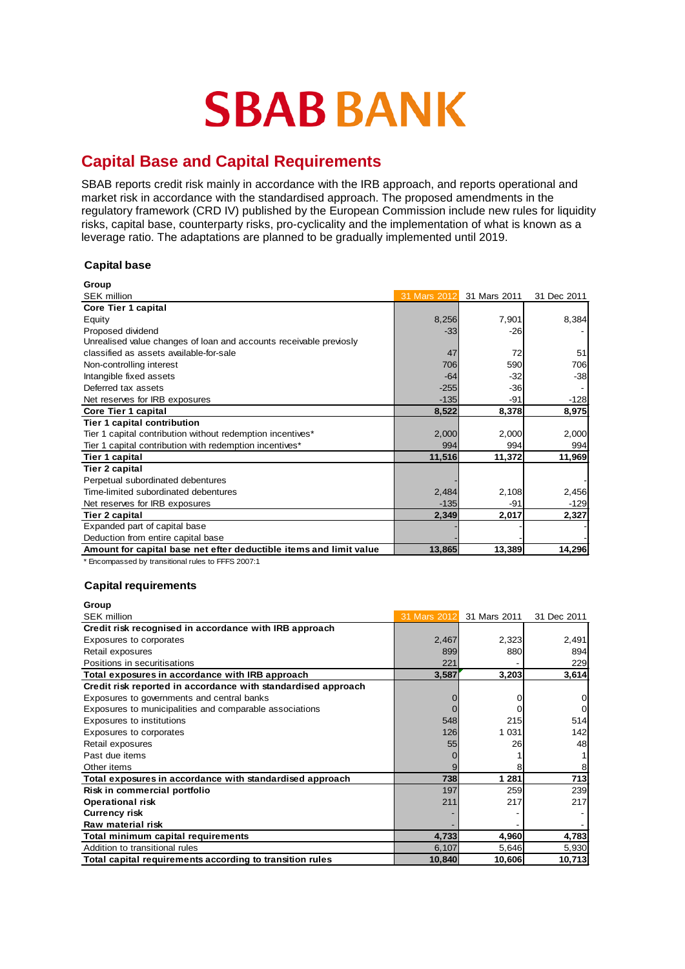# **SBAB BANK**

## **Capital Base and Capital Requirements**

SBAB reports credit risk mainly in accordance with the IRB approach, and reports operational and market risk in accordance with the standardised approach. The proposed amendments in the regulatory framework (CRD IV) published by the European Commission include new rules for liquidity risks, capital base, counterparty risks, pro-cyclicality and the implementation of what is known as a leverage ratio. The adaptations are planned to be gradually implemented until 2019.

## **Capital base**

| 31 Mars 2012 | 31 Mars 2011 | 31 Dec 2011 |
|--------------|--------------|-------------|
|              |              |             |
| 8,256        | 7,901        | 8,384       |
| $-33$        | $-26$        |             |
|              |              |             |
| 47           | 72           | 51          |
| 706          | 590          | 706         |
| $-64$        | $-32$        | $-38$       |
| $-255$       | $-36$        |             |
| $-135$       | $-91$        | $-128$      |
| 8,522        | 8,378        | 8,975       |
|              |              |             |
| 2,000        | 2,000        | 2,000       |
| 994          | 994          | 994         |
| 11,516       | 11,372       | 11,969      |
|              |              |             |
|              |              |             |
| 2,484        | 2,108        | 2,456       |
| $-135$       | -91          | $-129$      |
| 2,349        | 2,017        | 2,327       |
|              |              |             |
|              |              |             |
|              | 13,389       | 14,296      |
|              | 13,865       |             |

\* Encompassed by transitional rules to FFFS 2007:1

### **Capital requirements**

| Group                                                         |              |              |             |
|---------------------------------------------------------------|--------------|--------------|-------------|
| <b>SEK million</b>                                            | 31 Mars 2012 | 31 Mars 2011 | 31 Dec 2011 |
| Credit risk recognised in accordance with IRB approach        |              |              |             |
| Exposures to corporates                                       | 2,467        | 2,323        | 2,491       |
| Retail exposures                                              | 899          | 880          | 894         |
| Positions in securitisations                                  | 221          |              | 229         |
| Total exposures in accordance with IRB approach               | 3,587        | 3,203        | 3,614       |
| Credit risk reported in accordance with standardised approach |              |              |             |
| Exposures to governments and central banks                    |              |              |             |
| Exposures to municipalities and comparable associations       |              |              |             |
| Exposures to institutions                                     | 548          | 215          | 514         |
| Exposures to corporates                                       | 126          | 1 0 3 1      | 142         |
| Retail exposures                                              | 55           | 26           | 48          |
| Past due items                                                |              |              |             |
| Other items                                                   |              |              |             |
| Total exposures in accordance with standardised approach      | 738          | 1 2 8 1      | 713         |
| Risk in commercial portfolio                                  | 197          | 259          | 239         |
| <b>Operational risk</b>                                       | 211          | 217          | 217         |
| <b>Currency risk</b>                                          |              |              |             |
| Raw material risk                                             |              |              |             |
| Total minimum capital requirements                            | 4.733        | 4,960        | 4,783       |
| Addition to transitional rules                                | 6,107        | 5,646        | 5,930       |
| Total capital requirements according to transition rules      | 10,840       | 10,606       | 10,713      |